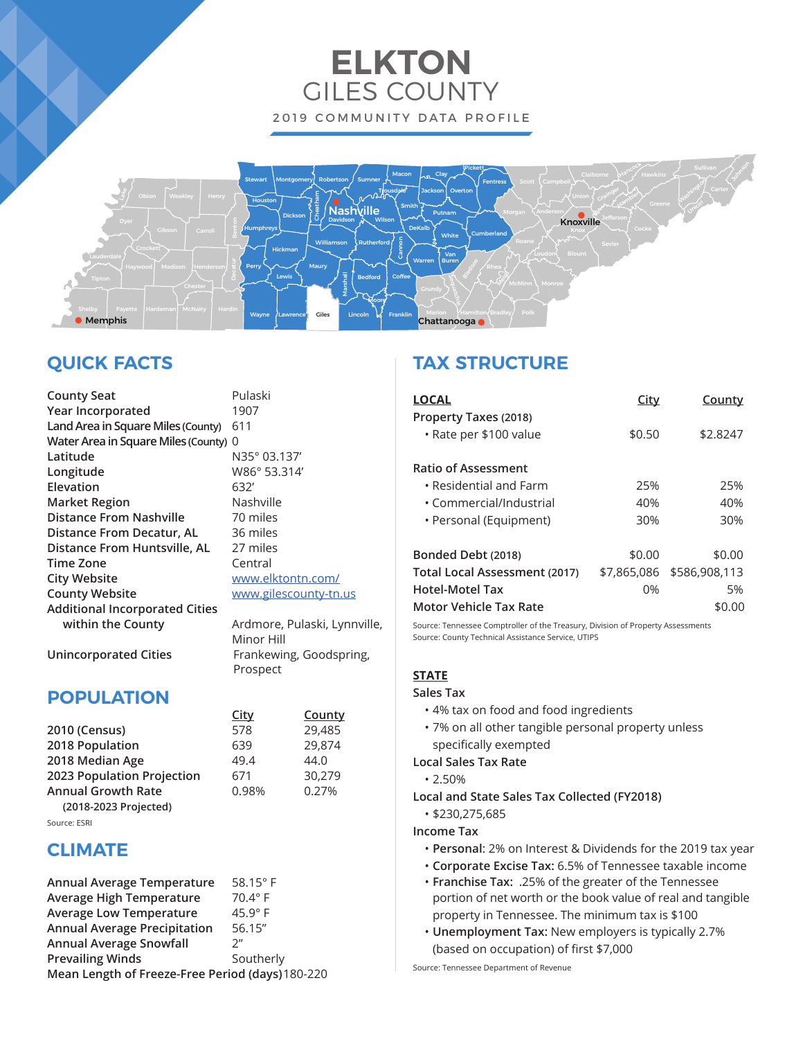# **ELKTON** GILES COUNTY 2019 COMMUNITY DATA PROFILE



# **QUICK FACTS**

| <b>County Seat</b>                    | Pulaski        |
|---------------------------------------|----------------|
| Year Incorporated                     | 1907           |
| Land Area in Square Miles (County)    | 611            |
| Water Area in Square Miles (County) 0 |                |
| Latitude                              | N35° 03.       |
| Longitude                             | W86° 53.       |
| Elevation                             | 632'           |
| <b>Market Region</b>                  | Nashville      |
| <b>Distance From Nashville</b>        | 70 miles       |
| Distance From Decatur, AL             | 36 miles       |
| Distance From Huntsville, AL          | 27 miles       |
| <b>Time Zone</b>                      | Central        |
| <b>City Website</b>                   | www.elkt       |
| <b>County Website</b>                 | www.gile       |
| <b>Additional Incorporated Cities</b> |                |
| within the County                     | Ardmore        |
|                                       | $Minor$ $\Box$ |

**Latitude** N35° 03.137' **Longitude** W86° 53.314' shville miles miles w.elktontn.com/ w.gilescounty-tn.us

**Imore, Pulaski, Lynnville,**  Minor Hill **Unincorporated Cities** Frankewing, Goodspring, Prospect

## **POPULATION**

|                            | <b>City</b> | County |
|----------------------------|-------------|--------|
| 2010 (Census)              | 578         | 29,485 |
| 2018 Population            | 639         | 29,874 |
| 2018 Median Age            | 49.4        | 44.0   |
| 2023 Population Projection | 671         | 30.279 |
| <b>Annual Growth Rate</b>  | 0.98%       | 0.27%  |
| (2018-2023 Projected)      |             |        |
|                            |             |        |

#### Source: ESRI

### **CLIMATE**

| Annual Average Temperature                       | 58.15 $\degree$ F  |
|--------------------------------------------------|--------------------|
| <b>Average High Temperature</b>                  | $70.4^\circ$ F     |
| <b>Average Low Temperature</b>                   | $45.9^\circ$ F     |
| <b>Annual Average Precipitation</b>              | 56.15"             |
| <b>Annual Average Snowfall</b>                   | $2^{\prime\prime}$ |
| <b>Prevailing Winds</b>                          | Southerly          |
| Mean Length of Freeze-Free Period (days) 180-220 |                    |

### **TAX STRUCTURE**

| <b>LOCAL</b>                                    | <u>City</u> | County                    |
|-------------------------------------------------|-------------|---------------------------|
| Property Taxes (2018)<br>• Rate per \$100 value | \$0.50      | \$2.8247                  |
| <b>Ratio of Assessment</b>                      |             |                           |
| $\cdot$ Residential and Farm                    | 25%         | 25%                       |
| • Commercial/Industrial                         | 40%         | 40%                       |
| • Personal (Equipment)                          | 30%         | 30%                       |
| Bonded Debt (2018)                              | \$0.00      | \$0.00                    |
| Total Local Assessment (2017)                   |             | \$7,865,086 \$586,908,113 |
| Hotel-Motel Tax                                 | 0%          | 5%                        |
| Motor Vehicle Tax Rate                          |             | \$0.00                    |

Source: Tennessee Comptroller of the Treasury, Division of Property Assessments Source: County Technical Assistance Service, UTIPS

### **STATE**

### **Sales Tax**

- 4% tax on food and food ingredients
- 7% on all other tangible personal property unless specifically exempted

### **Local Sales Tax Rate**

- 2.50%
- **Local and State Sales Tax Collected (FY2018)**
	- \$230,275,685

### **Income Tax**

- **Personal**: 2% on Interest & Dividends for the 2019 tax year
- **Corporate Excise Tax:** 6.5% of Tennessee taxable income
- **Franchise Tax:** .25% of the greater of the Tennessee portion of net worth or the book value of real and tangible property in Tennessee. The minimum tax is \$100
- **Unemployment Tax:** New employers is typically 2.7% (based on occupation) of first \$7,000

Source: Tennessee Department of Revenue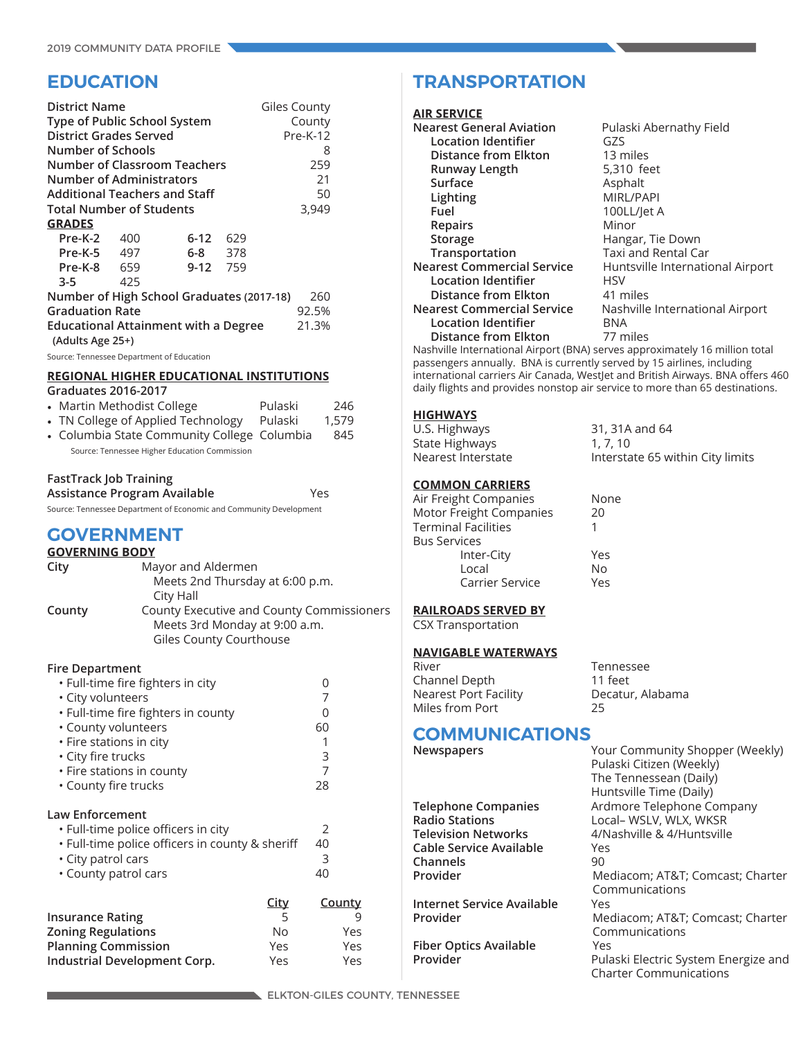### **EDUCATION**

| <b>District Name</b><br>Type of Public School System<br>District Grades Served |     |                                             |     | Giles County<br>County<br>Pre-K-12               |
|--------------------------------------------------------------------------------|-----|---------------------------------------------|-----|--------------------------------------------------|
| Number of Schools                                                              |     |                                             |     | 8                                                |
|                                                                                |     | <b>Number of Classroom Teachers</b>         |     | 259                                              |
| Number of Administrators                                                       |     |                                             |     | 21                                               |
| <b>Additional Teachers and Staff</b>                                           |     |                                             |     | 50                                               |
| <b>Total Number of Students</b>                                                |     |                                             |     | 3,949                                            |
| <b>GRADES</b>                                                                  |     |                                             |     |                                                  |
| Pre-K-2 400                                                                    |     | 6-12                                        | 629 |                                                  |
| Pre-K-5 497                                                                    |     | 6-8 378                                     |     |                                                  |
| Pre-K-8 659                                                                    |     | 9-12 759                                    |     |                                                  |
| $3 - 5$                                                                        | 425 |                                             |     |                                                  |
|                                                                                |     | Number of High School Graduates (2017-18)   |     | 260                                              |
| <b>Graduation Rate</b>                                                         |     |                                             |     | 92.5%                                            |
| (Adults Age 25+)                                                               |     | <b>Educational Attainment with a Degree</b> |     | 21.3%                                            |
| Source: Tennessee Department of Education                                      |     |                                             |     |                                                  |
|                                                                                |     |                                             |     | REAIALIAI IIIAIIER ERIIAATIALIAI ILIATITIITIALIA |

#### **REGIONAL HIGHER EDUCATIONAL INSTITUTIONS Graduates 2016-2017**

| • Martin Methodist College                    | Pulaski | 246   |
|-----------------------------------------------|---------|-------|
| • TN College of Applied Technology            | Pulaski | 1.579 |
| • Columbia State Community College Columbia   |         | 845   |
| Source: Tennessee Higher Education Commission |         |       |

### **FastTrack Job Training**

**Assistance Program Available** Yes

Source: Tennessee Department of Economic and Community Development

### **GOVERNMENT**

| <b>GOVERNING BODY</b> |                                           |  |  |  |
|-----------------------|-------------------------------------------|--|--|--|
| City                  | Mayor and Aldermen                        |  |  |  |
|                       | Meets 2nd Thursday at 6:00 p.m.           |  |  |  |
|                       | City Hall                                 |  |  |  |
| County                | County Executive and County Commissioners |  |  |  |
|                       | Meets 3rd Monday at 9:00 a.m.             |  |  |  |
|                       | Giles County Courthouse                   |  |  |  |

#### **Fire Department**

| • Full-time fire fighters in city               |             | 0             |
|-------------------------------------------------|-------------|---------------|
| · City volunteers                               |             |               |
| • Full-time fire fighters in county             |             | 0             |
| • County volunteers                             |             | 60            |
| • Fire stations in city                         |             |               |
| • City fire trucks                              |             | 3             |
| • Fire stations in county                       |             | 7             |
| • County fire trucks                            |             | 28            |
| <b>Law Enforcement</b>                          |             |               |
| · Full-time police officers in city             |             | 2             |
| . Full-time police officers in county & sheriff |             | 40            |
| • City patrol cars                              |             | 3             |
| • County patrol cars                            |             | 40            |
|                                                 | <b>City</b> | <u>County</u> |
| <b>Insurance Rating</b>                         | 5           | 9             |
| <b>Zoning Regulations</b>                       | No          | Yes           |
| <b>Planning Commission</b>                      | Yes         | Yes           |
| Industrial Development Corp.                    | Yes         | Yes           |

### **TRANSPORTATION**

#### **AIR SERVICE**

| <b>Nearest General Aviation</b>                                             | Pulaski Abernathy Field          |
|-----------------------------------------------------------------------------|----------------------------------|
| Location Identifier                                                         | G7S                              |
| <b>Distance from Elkton</b>                                                 | 13 miles                         |
| Runway Length                                                               | 5,310 feet                       |
| Surface                                                                     | Asphalt                          |
| Lighting                                                                    | MIRL/PAPI                        |
| Fuel                                                                        | 100LL/let A                      |
| Repairs                                                                     | Minor                            |
| <b>Storage</b>                                                              | Hangar, Tie Down                 |
| Transportation                                                              | Taxi and Rental Car              |
| <b>Nearest Commercial Service</b>                                           | Huntsville International Airport |
| Location Identifier                                                         | HSV                              |
| <b>Distance from Elkton</b>                                                 | 41 miles                         |
| <b>Nearest Commercial Service</b>                                           | Nashville International Airport  |
| Location Identifier                                                         | BNA                              |
| <b>Distance from Elkton</b>                                                 | 77 miles                         |
| Nashville International Airport (BNA) serves approximately 16 million total |                                  |

passengers annually. BNA is currently served by 15 airlines, including international carriers Air Canada, WestJet and British Airways. BNA offers 460 daily flights and provides nonstop air service to more than 65 destinations.

### **HIGHWAYS**

| U.S. Highways      | 31, 31A and 64                   |
|--------------------|----------------------------------|
| State Highways     | 1, 7, 10                         |
| Nearest Interstate | Interstate 65 within City limits |

#### **COMMON CARRIERS**

| None |
|------|
| 20   |
|      |
|      |
| Yes  |
| No   |
| Yes  |
|      |

**RAILROADS SERVED BY**

### CSX Transportation

Channel Depth

#### **NAVIGABLE WATERWAYS**

River Tennessee<br>
Channel Depth (11 feet

Nearest Port Facility Decatur, Alabama<br>
Miles from Port 25 Miles from Port

# **COMMUNICATIONS**<br> **Newspapers**

| Newspapers                    | Your Community Shopper (Weekly)<br>Pulaski Citizen (Weekly)<br>The Tennessean (Daily)<br>Huntsville Time (Daily) |
|-------------------------------|------------------------------------------------------------------------------------------------------------------|
| <b>Telephone Companies</b>    | Ardmore Telephone Company                                                                                        |
| <b>Radio Stations</b>         | Local- WSLV, WLX, WKSR                                                                                           |
| <b>Television Networks</b>    | 4/Nashville & 4/Huntsville                                                                                       |
| Cable Service Available       | Yes                                                                                                              |
| Channels                      | 90                                                                                                               |
| Provider                      | Mediacom; AT&T Comcast; Charter                                                                                  |
|                               | Communications                                                                                                   |
| Internet Service Available    | Yes                                                                                                              |
| Provider                      | Mediacom; AT&T Comcast; Charter                                                                                  |
|                               | Communications                                                                                                   |
| <b>Fiber Optics Available</b> | Yes                                                                                                              |
| Provider                      | Pulaski Electric System Energize and                                                                             |
|                               | <b>Charter Communications</b>                                                                                    |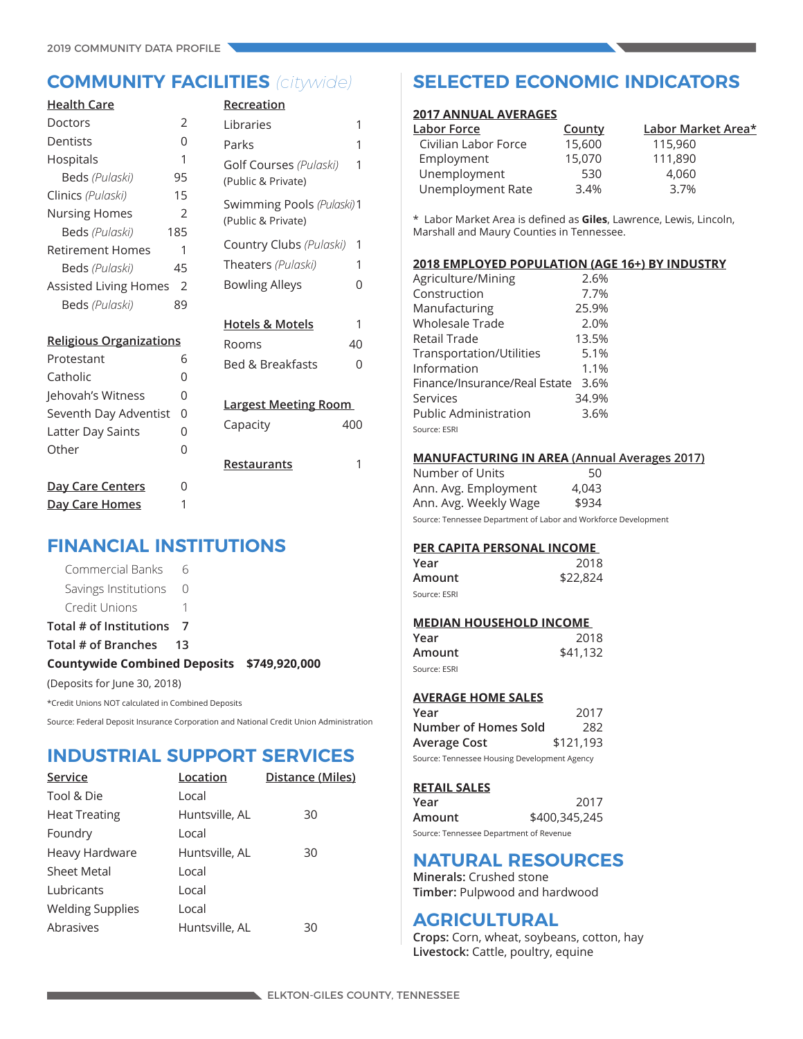| <b>Health Care</b>                            |                | Recreation                  |     |
|-----------------------------------------------|----------------|-----------------------------|-----|
| Doctors                                       | 2              | Libraries                   | 1   |
| Dentists                                      | 0              | Parks                       | 1   |
| Hospitals                                     | 1              | Golf Courses (Pulaski)      | 1   |
| Beds (Pulaski)                                | 95             | (Public & Private)          |     |
| Clinics (Pulaski)                             | 15             | Swimming Pools (Pulaski) 1  |     |
| <b>Nursing Homes</b>                          | $\mathfrak{D}$ | (Public & Private)          |     |
| Beds (Pulaski)                                | 185            |                             |     |
| <b>Retirement Homes</b>                       | 1              | Country Clubs (Pulaski)     | 1   |
| Beds (Pulaski)                                | 45             | Theaters (Pulaski)          | 1   |
| <b>Assisted Living Homes</b><br>$\mathcal{P}$ |                | <b>Bowling Alleys</b>       | 0   |
| Beds (Pulaski)                                | 89             |                             |     |
|                                               |                | <b>Hotels &amp; Motels</b>  | 1   |
| <b>Religious Organizations</b>                |                | Rooms                       | 40  |
| Protestant                                    | 6              | <b>Bed &amp; Breakfasts</b> | 0   |
| Catholic                                      | 0              |                             |     |
| Jehovah's Witness                             | 0              |                             |     |
| Seventh Day Adventist                         | 0              | <b>Largest Meeting Room</b> |     |
| Latter Day Saints                             | 0              | Capacity                    | 400 |
| Other                                         | 0              |                             |     |
|                                               |                | Restaurants                 | 1   |
| Day Care Centers                              | 0              |                             |     |
| Day Care Homes                                | 1              |                             |     |

### **FINANCIAL INSTITUTIONS**

| (Deposits for June 30, 2018)               |      |  |
|--------------------------------------------|------|--|
| Countywide Combined Deposits \$749,920,000 |      |  |
| Total # of Branches                        | - 13 |  |
| Total # of Institutions 7                  |      |  |
| Credit Unions                              |      |  |
| Savings Institutions 0                     |      |  |
| Commercial Banks 6                         |      |  |

\*Credit Unions NOT calculated in Combined Deposits

Source: Federal Deposit Insurance Corporation and National Credit Union Administration

### **INDUSTRIAL SUPPORT SERVICES**

| Service                 | Location       | Distance (Miles) |
|-------------------------|----------------|------------------|
| Tool & Die              | Local          |                  |
| <b>Heat Treating</b>    | Huntsville, AL | 30               |
| Foundry                 | Local          |                  |
| Heavy Hardware          | Huntsville, AL | 30               |
| <b>Sheet Metal</b>      | Local          |                  |
| Lubricants              | Local          |                  |
| <b>Welding Supplies</b> | Local          |                  |
| Abrasives               | Huntsville, AL | 30               |

### **COMMUNITY FACILITIES** *(citywide)* **SELECTED ECONOMIC INDICATORS**

#### **2017 ANNUAL AVERAGES**

| Labor Force          | County | Labor Market Area* |
|----------------------|--------|--------------------|
| Civilian Labor Force | 15,600 | 115,960            |
| Employment           | 15,070 | 111,890            |
| Unemployment         | 530    | 4,060              |
| Unemployment Rate    | 3.4%   | 3.7%               |

\* Labor Market Area is defined as **Giles**, Lawrence, Lewis, Lincoln, Marshall and Maury Counties in Tennessee.

#### **2018 EMPLOYED POPULATION (AGE 16+) BY INDUSTRY**

| Agriculture/Mining            | 2.6%  |
|-------------------------------|-------|
| Construction                  | 7.7%  |
| Manufacturing                 | 25.9% |
| Wholesale Trade               | 2.0%  |
| Retail Trade                  | 13.5% |
| Transportation/Utilities      | 5.1%  |
| Information                   | 1.1%  |
| Finance/Insurance/Real Estate | 3.6%  |
| Services                      | 34.9% |
| Public Administration         | 3.6%  |
| Source: ESRI                  |       |

### **MANUFACTURING IN AREA (Annual Averages 2017)**

Number of Units 50 Ann. Avg. Employment 4,043 Ann. Avg. Weekly Wage \$934

Source: Tennessee Department of Labor and Workforce Development

### **PER CAPITA PERSONAL INCOME**

| Year         | 2018     |
|--------------|----------|
| Amount       | \$22,824 |
| Source: ESRI |          |

#### **MEDIAN HOUSEHOLD INCOME**

| Year         | 2018     |
|--------------|----------|
| Amount       | \$41,132 |
| Source: ESRI |          |

### **AVERAGE HOME SALES**

| Year                                         | 2017      |  |  |
|----------------------------------------------|-----------|--|--|
| Number of Homes Sold                         | 282       |  |  |
| Average Cost                                 | \$121,193 |  |  |
| Source: Tennessee Housing Development Agency |           |  |  |

#### **RETAIL SALES**

| Year                                    | 2017          |
|-----------------------------------------|---------------|
| Amount                                  | \$400,345,245 |
| Source: Tennessee Department of Revenue |               |

### **NATURAL RESOURCES**

**Minerals:** Crushed stone **Timber:** Pulpwood and hardwood

### **AGRICULTURAL**

**Crops:** Corn, wheat, soybeans, cotton, hay **Livestock:** Cattle, poultry, equine